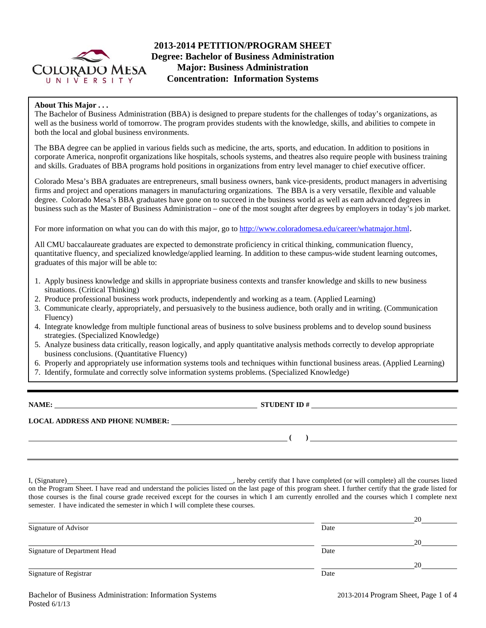

# **2013-2014 PETITION/PROGRAM SHEET Degree: Bachelor of Business Administration Major: Business Administration Concentration: Information Systems**

### **About This Major . . .**

The Bachelor of Business Administration (BBA) is designed to prepare students for the challenges of today's organizations, as well as the business world of tomorrow. The program provides students with the knowledge, skills, and abilities to compete in both the local and global business environments.

The BBA degree can be applied in various fields such as medicine, the arts, sports, and education. In addition to positions in corporate America, nonprofit organizations like hospitals, schools systems, and theatres also require people with business training and skills. Graduates of BBA programs hold positions in organizations from entry level manager to chief executive officer.

Colorado Mesa's BBA graduates are entrepreneurs, small business owners, bank vice-presidents, product managers in advertising firms and project and operations managers in manufacturing organizations. The BBA is a very versatile, flexible and valuable degree. Colorado Mesa's BBA graduates have gone on to succeed in the business world as well as earn advanced degrees in business such as the Master of Business Administration – one of the most sought after degrees by employers in today's job market.

For more information on what you can do with this major, go to http://www.coloradomesa.edu/career/whatmajor.html.

All CMU baccalaureate graduates are expected to demonstrate proficiency in critical thinking, communication fluency, quantitative fluency, and specialized knowledge/applied learning. In addition to these campus-wide student learning outcomes, graduates of this major will be able to:

- 1. Apply business knowledge and skills in appropriate business contexts and transfer knowledge and skills to new business situations. (Critical Thinking)
- 2. Produce professional business work products, independently and working as a team. (Applied Learning)
- 3. Communicate clearly, appropriately, and persuasively to the business audience, both orally and in writing. (Communication Fluency)
- 4. Integrate knowledge from multiple functional areas of business to solve business problems and to develop sound business strategies. (Specialized Knowledge)
- 5. Analyze business data critically, reason logically, and apply quantitative analysis methods correctly to develop appropriate business conclusions. (Quantitative Fluency)
- 6. Properly and appropriately use information systems tools and techniques within functional business areas. (Applied Learning)
- 7. Identify, formulate and correctly solve information systems problems. (Specialized Knowledge)

**NAME: STUDENT ID #**

 **( )** 

**LOCAL ADDRESS AND PHONE NUMBER:**

I, (Signature) , hereby certify that I have completed (or will complete) all the courses listed on the Program Sheet. I have read and understand the policies listed on the last page of this program sheet. I further certify that the grade listed for those courses is the final course grade received except for the courses in which I am currently enrolled and the courses which I complete next semester. I have indicated the semester in which I will complete these courses.

|                              |      | 20 |
|------------------------------|------|----|
| Signature of Advisor         | Date |    |
|                              |      | 20 |
| Signature of Department Head | Date |    |
|                              |      | 20 |
| Signature of Registrar       | Date |    |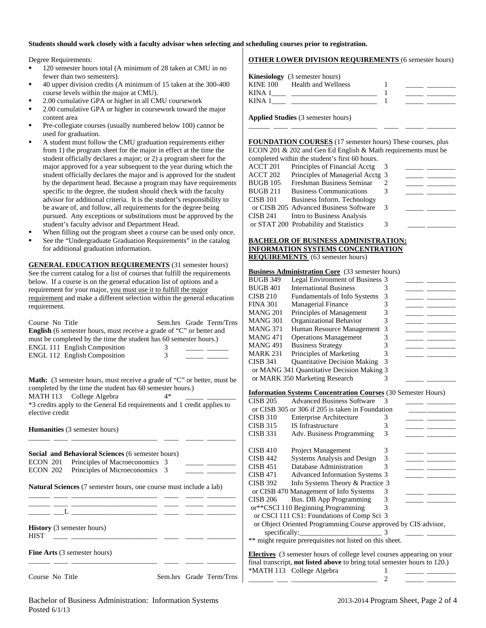#### **Students should work closely with a faculty advisor when selecting and scheduling courses prior to registration.**

Degree Requirements:

- <sup>120</sup> semester hours total (A minimum of 28 taken at CMU in no fewer than two semesters).
- 40 upper division credits (A minimum of 15 taken at the 300-400 course levels within the major at CMU).
- 2.00 cumulative GPA or higher in all CMU coursework
- 2.00 cumulative GPA or higher in coursework toward the major content area
- Pre-collegiate courses (usually numbered below 100) cannot be used for graduation.
- A student must follow the CMU graduation requirements either from 1) the program sheet for the major in effect at the time the student officially declares a major; or 2) a program sheet for the major approved for a year subsequent to the year during which the student officially declares the major and is approved for the student by the department head. Because a program may have requirements specific to the degree, the student should check with the faculty advisor for additional criteria. It is the student's responsibility to be aware of, and follow, all requirements for the degree being pursued. Any exceptions or substitutions must be approved by the student's faculty advisor and Department Head.
- When filling out the program sheet a course can be used only once.
- See the "Undergraduate Graduation Requirements" in the catalog for additional graduation information.

**GENERAL EDUCATION REQUIREMENTS** (31 semester hours) See the current catalog for a list of courses that fulfill the requirements below. If a course is on the general education list of options and a requirement for your major, you must use it to fulfill the major requirement and make a different selection within the general education requirement.

| Course No Title<br>must be completed by the time the student has 60 semester hours.)<br>ENGL 111 English Composition<br><b>ENGL 112 English Composition</b>                                                                                                                   | Sem.hrs Grade Term/Trns<br><b>English</b> (6 semester hours, must receive a grade of "C" or better and<br>3<br>3 |  |  |  |  |  |  |
|-------------------------------------------------------------------------------------------------------------------------------------------------------------------------------------------------------------------------------------------------------------------------------|------------------------------------------------------------------------------------------------------------------|--|--|--|--|--|--|
| <b>Math:</b> (3 semester hours, must receive a grade of "C" or better, must be<br>completed by the time the student has 60 semester hours.)<br>MATH 113 College Algebra<br>$4*$<br>*3 credits apply to the General Ed requirements and 1 credit applies to<br>elective credit |                                                                                                                  |  |  |  |  |  |  |
| <b>Humanities</b> (3 semester hours)                                                                                                                                                                                                                                          |                                                                                                                  |  |  |  |  |  |  |
| Social and Behavioral Sciences (6 semester hours)<br>ECON 201 Principles of Macroeconomics 3                                                                                                                                                                                  |                                                                                                                  |  |  |  |  |  |  |
| ECON 202 Principles of Microeconomics 3                                                                                                                                                                                                                                       |                                                                                                                  |  |  |  |  |  |  |
| <b>Natural Sciences</b> (7 semester hours, one course must include a lab)                                                                                                                                                                                                     |                                                                                                                  |  |  |  |  |  |  |
| <u> 1989 - Johann Stein, mars et al. 1990 - Anna ann an t-</u>                                                                                                                                                                                                                |                                                                                                                  |  |  |  |  |  |  |
| <b>History</b> (3 semester hours)<br><b>HIST</b>                                                                                                                                                                                                                              |                                                                                                                  |  |  |  |  |  |  |

**Fine Arts** (3 semester hours) \_\_\_\_\_\_ \_\_\_\_ \_\_\_\_\_\_\_\_\_\_\_\_\_\_\_\_\_\_\_\_\_\_\_\_ \_\_\_\_ \_\_\_\_\_ \_\_\_\_\_\_\_\_

# **OTHER LOWER DIVISION REQUIREMENTS** (6 semester hours)

**Applied Studies** (3 semester hours)

**FOUNDATION COURSES** (17 semester hours) These courses, plus ECON 201 & 202 and Gen Ed English & Math requirements must be completed within the student's first 60 hours.

\_\_\_\_\_\_ \_\_\_\_ \_\_\_\_\_\_\_\_\_\_\_\_\_\_\_\_\_\_\_\_\_\_\_\_ \_\_\_\_ \_\_\_\_\_ \_\_\_\_\_\_\_\_

|          | compreted within the bitterile bandle of notato. |   |  |
|----------|--------------------------------------------------|---|--|
| ACCT 201 | Principles of Financial Acctg                    |   |  |
| ACCT 202 | Principles of Managerial Acctg 3                 |   |  |
| BUGB 105 | Freshman Business Seminar                        |   |  |
| BUGB 211 | <b>Business Communications</b>                   |   |  |
| CISB 101 | Business Inform. Technology                      |   |  |
|          | or CISB 205 Advanced Business Software           | 3 |  |
| CISB 241 | Intro to Business Analysis                       |   |  |
|          | or STAT 200 Probability and Statistics           |   |  |
|          |                                                  |   |  |

#### **BACHELOR OF BUSINESS ADMINISTRATION: INFORMATION SYSTEMS CONCENTRATION REQUIREMENTS** (63 semester hours)

### **Business Administration Core** (33 semester hours)

| BUGB 349 | Legal Environment of Business 3            |   |  |
|----------|--------------------------------------------|---|--|
| BUGB 401 | <b>International Business</b>              |   |  |
| CISB 210 | Fundamentals of Info Systems               |   |  |
| FINA 301 | <b>Managerial Finance</b>                  |   |  |
| MANG 201 | Principles of Management                   |   |  |
| MANG 301 | Organizational Behavior                    |   |  |
| MANG 371 | Human Resource Management 3                |   |  |
| MANG 471 | <b>Operations Management</b>               |   |  |
| MANG 491 | <b>Business Strategy</b>                   |   |  |
| MARK 231 | Principles of Marketing                    |   |  |
| CISB 341 | <b>Quantitative Decision Making</b>        | 3 |  |
|          | or MANG 341 Quantitative Decision Making 3 |   |  |
|          | or MARK 350 Marketing Research             |   |  |
|          |                                            |   |  |

### **Information Systems Concentration Courses** (30 Semester Hours)

| <b>CISB 205</b> | <b>Advanced Business Software</b>                                                | $\mathcal{R}$ |  |
|-----------------|----------------------------------------------------------------------------------|---------------|--|
|                 | or CISB 305 or 306 if 205 is taken in Foundation                                 |               |  |
| <b>CISB 310</b> | <b>Enterprise Architecture</b>                                                   | 3             |  |
| <b>CISB 315</b> | <b>IS</b> Infrastructure                                                         | 3             |  |
| <b>CISB 331</b> | Adv. Business Programming                                                        | 3             |  |
|                 |                                                                                  |               |  |
| <b>CISB 410</b> | Project Management                                                               | 3             |  |
| CISB 442        | Systems Analysis and Design                                                      | 3             |  |
| <b>CISB 451</b> | Database Administration                                                          | 3             |  |
| CISB 471        | <b>Advanced Information Systems 3</b>                                            |               |  |
| <b>CISB 392</b> | Info Systems Theory & Practice 3                                                 |               |  |
|                 | or CISB 470 Management of Info Systems                                           | 3             |  |
| CISB 206        | Bus. DB App Programming                                                          | 3             |  |
|                 | or**CSCI 110 Beginning Programming                                               |               |  |
|                 | or CSCI 111 CS1: Foundations of Comp Sci 3                                       |               |  |
|                 | or Object Oriented Programming Course approved by CIS advisor,                   |               |  |
|                 | specifically:                                                                    | 3             |  |
|                 | ** might require prerequisites not listed on this sheet.                         |               |  |
|                 |                                                                                  |               |  |
|                 | <b>Electives</b> (3 semester hours of college level courses appearing on your    |               |  |
|                 | final transcript, <b>not listed above</b> to bring total semester hours to 120.) |               |  |

\_\_\_\_\_\_\_ \_\_\_ \_\_\_\_\_\_\_\_\_\_\_\_\_\_\_\_\_\_\_\_\_\_\_\_ 2 \_\_\_\_\_ \_\_\_\_\_\_\_\_

\*MATH 113 College Algebra 1

Course No Title Sem.hrs Grade Term/Trns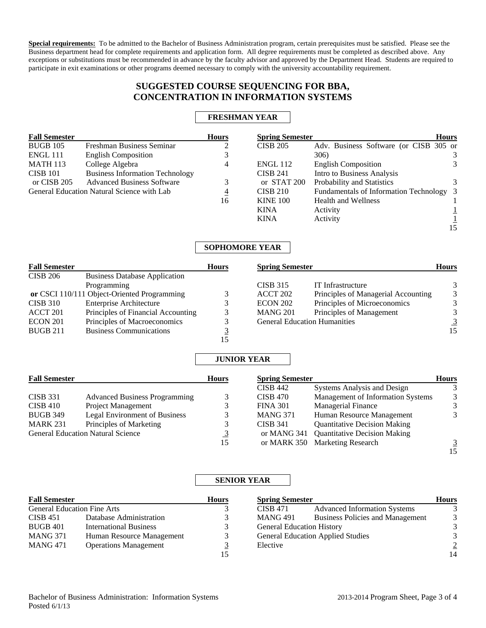**Special requirements:** To be admitted to the Bachelor of Business Administration program, certain prerequisites must be satisfied. Please see the Business department head for complete requirements and application form. All degree requirements must be completed as described above. Any exceptions or substitutions must be recommended in advance by the faculty advisor and approved by the Department Head. Students are required to participate in exit examinations or other programs deemed necessary to comply with the university accountability requirement.

# **SUGGESTED COURSE SEQUENCING FOR BBA, CONCENTRATION IN INFORMATION SYSTEMS**

## **FRESHMAN YEAR**

| <b>Fall Semester</b> |                                            | <b>Hours</b> | <b>Spring Semester</b> |                                          | <b>Hours</b> |
|----------------------|--------------------------------------------|--------------|------------------------|------------------------------------------|--------------|
| <b>BUGB 105</b>      | Freshman Business Seminar                  |              | <b>CISB 205</b>        | Adv. Business Software (or CISB 305 or   |              |
| <b>ENGL 111</b>      | <b>English Composition</b>                 |              |                        | 306)                                     | 3            |
| <b>MATH 113</b>      | College Algebra                            | 4            | <b>ENGL 112</b>        | <b>English Composition</b>               | 3            |
| <b>CISB 101</b>      | <b>Business Information Technology</b>     |              | <b>CISB 241</b>        | Intro to Business Analysis               |              |
| or CISB 205          | <b>Advanced Business Software</b>          |              | or STAT 200            | Probability and Statistics               | 3            |
|                      | General Education Natural Science with Lab | 4            | <b>CISB 210</b>        | Fundamentals of Information Technology 3 |              |
|                      |                                            | 16           | <b>KINE 100</b>        | <b>Health and Wellness</b>               |              |
|                      |                                            |              | <b>KINA</b>            | Activity                                 |              |
|                      |                                            |              | <b>KINA</b>            | Activity                                 |              |
|                      |                                            |              |                        |                                          | 15           |

## **SOPHOMORE YEAR**

| <b>Fall Semester</b> |                                             | <b>Hours</b> | <b>Spring Semester</b> |                                     | <b>Hours</b> |
|----------------------|---------------------------------------------|--------------|------------------------|-------------------------------------|--------------|
| <b>CISB 206</b>      | <b>Business Database Application</b>        |              |                        |                                     |              |
|                      | Programming                                 |              | <b>CISB 315</b>        | IT Infrastructure                   |              |
|                      | or CSCI 110/111 Object-Oriented Programming |              | ACCT 202               | Principles of Managerial Accounting | 3            |
| <b>CISB 310</b>      | <b>Enterprise Architecture</b>              |              | <b>ECON 202</b>        | Principles of Microeconomics        |              |
| ACCT 201             | Principles of Financial Accounting          |              | <b>MANG 201</b>        | Principles of Management            |              |
| <b>ECON 201</b>      | Principles of Macroeconomics                |              |                        | <b>General Education Humanities</b> |              |
| <b>BUGB 211</b>      | <b>Business Communications</b>              |              |                        |                                     | 15           |
|                      |                                             |              |                        |                                     |              |

### **JUNIOR YEAR**

| <b>Fall Semester</b> |                                          | <b>Hours</b> |                 | <b>Spring Semester</b>              |    |  |
|----------------------|------------------------------------------|--------------|-----------------|-------------------------------------|----|--|
|                      |                                          |              | <b>CISB 442</b> | <b>Systems Analysis and Design</b>  |    |  |
| <b>CISB 331</b>      | <b>Advanced Business Programming</b>     |              | <b>CISB 470</b> | Management of Information Systems   | 3  |  |
| <b>CISB 410</b>      | Project Management                       |              | <b>FINA 301</b> | <b>Managerial Finance</b>           |    |  |
| <b>BUGB 349</b>      | <b>Legal Environment of Business</b>     |              | <b>MANG 371</b> | Human Resource Management           |    |  |
| <b>MARK 231</b>      | Principles of Marketing                  | 3            | <b>CISB 341</b> | <b>Quantitative Decision Making</b> |    |  |
|                      | <b>General Education Natural Science</b> | <u>3</u>     | or MANG 341     | <b>Quantitative Decision Making</b> |    |  |
|                      |                                          | 15           |                 | or MARK 350 Marketing Research      |    |  |
|                      |                                          |              |                 |                                     | 15 |  |

## **SENIOR YEAR**

| <b>Fall Semester</b>               |                               | <b>Hours</b> | <b>Spring Semester</b>           |                                          | <b>Hours</b>   |
|------------------------------------|-------------------------------|--------------|----------------------------------|------------------------------------------|----------------|
| <b>General Education Fine Arts</b> |                               |              | <b>CISB 471</b>                  | <b>Advanced Information Systems</b>      |                |
| <b>CISB 451</b>                    | Database Administration       |              | <b>MANG 491</b>                  | <b>Business Policies and Management</b>  | 3              |
| <b>BUGB 401</b>                    | <b>International Business</b> |              | <b>General Education History</b> |                                          | 3              |
| MANG 371                           | Human Resource Management     |              |                                  | <b>General Education Applied Studies</b> | 3              |
| <b>MANG 471</b>                    | <b>Operations Management</b>  |              | Elective                         |                                          | $\overline{2}$ |
|                                    |                               |              |                                  |                                          | 14             |